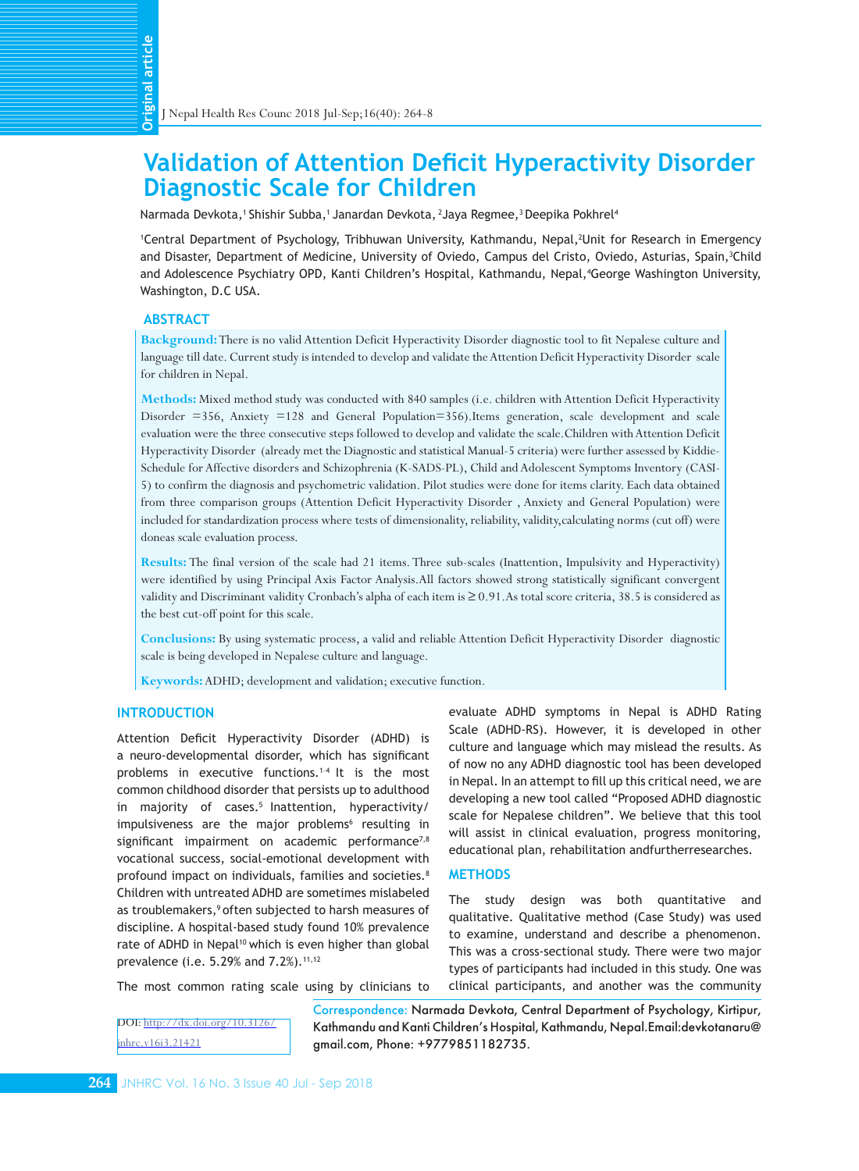# **Validation of Attention Deficit Hyperactivity Disorder Diagnostic Scale for Children**

Narmada Devkota,<sup>1</sup> Shishir Subba,<sup>1</sup> Janardan Devkota, <sup>2</sup>Jaya Regmee,<sup>3</sup> Deepika Pokhrel<sup>4</sup>

1 Central Department of Psychology, Tribhuwan University, Kathmandu, Nepal,<sup>2</sup> Unit for Research in Emergency and Disaster, Department of Medicine, University of Oviedo, Campus del Cristo, Oviedo, Asturias, Spain, <sup>3</sup>Child and Adolescence Psychiatry OPD, Kanti Children's Hospital, Kathmandu, Nepal,4George Washington University, Washington, D.C USA.

#### **ABSTRACT**

**Background:**There is no valid Attention Deficit Hyperactivity Disorder diagnostic tool to fit Nepalese culture and language till date. Current study is intended to develop and validate the Attention Deficit Hyperactivity Disorder scale for children in Nepal.

**Methods:** Mixed method study was conducted with 840 samples (i.e. children with Attention Deficit Hyperactivity Disorder =356, Anxiety =128 and General Population=356).Items generation, scale development and scale evaluation were the three consecutive steps followed to develop and validate the scale.Children with Attention Deficit Hyperactivity Disorder (already met the Diagnostic and statistical Manual-5 criteria) were further assessed by Kiddie-Schedule for Affective disorders and Schizophrenia (K-SADS-PL), Child and Adolescent Symptoms Inventory (CASI-5) to confirm the diagnosis and psychometric validation. Pilot studies were done for items clarity. Each data obtained from three comparison groups (Attention Deficit Hyperactivity Disorder , Anxiety and General Population) were included for standardization process where tests of dimensionality, reliability, validity,calculating norms (cut off) were doneas scale evaluation process.

**Results:** The final version of the scale had 21 items. Three sub-scales (Inattention, Impulsivity and Hyperactivity) were identified by using Principal Axis Factor Analysis.All factors showed strong statistically significant convergent validity and Discriminant validity Cronbach's alpha of each item is ≥ 0.91.As total score criteria, 38.5 is considered as the best cut-off point for this scale.

**Conclusions:** By using systematic process, a valid and reliable Attention Deficit Hyperactivity Disorder diagnostic scale is being developed in Nepalese culture and language.

**Keywords:** ADHD; development and validation; executive function.

#### **INTRODUCTION**

Attention Deficit Hyperactivity Disorder (ADHD) is a neuro-developmental disorder, which has significant problems in executive functions.<sup>1-4</sup> It is the most common childhood disorder that persists up to adulthood in majority of cases. $5$  Inattention, hyperactivity/ impulsiveness are the major problems<sup>6</sup> resulting in significant impairment on academic performance<sup>7,8</sup> vocational success, social-emotional development with profound impact on individuals, families and societies.<sup>8</sup> Children with untreated ADHD are sometimes mislabeled as troublemakers,<sup>9</sup> often subjected to harsh measures of discipline. A hospital-based study found 10% prevalence rate of ADHD in Nepal<sup>10</sup> which is even higher than global prevalence (i.e. 5.29% and 7.2%).<sup>11,12</sup> **Example 18 J**<br> **Valid**<br> **Valid**<br> **Valid**<br> **Valid**<br> **Valid**<br> **V**<br> **Valid**<br> **V**<br> **Valid**<br> **Contral**<br> **Diagr**<br>
Marmada D<br>
<sup>1</sup> Central De<br>
and Disaste<br>
and Adoles<br>
Washingtor<br> **ABSTRAC**<br> **Backgroul**<br>
language till<br>
for childr

evaluate ADHD symptoms in Nepal is ADHD Rating Scale (ADHD-RS). However, it is developed in other culture and language which may mislead the results. As of now no any ADHD diagnostic tool has been developed in Nepal. In an attempt to fill up this critical need, we are developing a new tool called "Proposed ADHD diagnostic scale for Nepalese children". We believe that this tool will assist in clinical evaluation, progress monitoring, educational plan, rehabilitation andfurtherresearches.

# **METHODS**

The study design was both quantitative and qualitative. Qualitative method (Case Study) was used to examine, understand and describe a phenomenon. This was a cross-sectional study. There were two major types of participants had included in this study. One was clinical participants, and another was the community

The most common rating scale using by clinicians to

DOI: [http://dx.doi.org/10.3126/](http://dx.doi.org/10.3126/jnhrc.v16i3.21421) inhrc.v16i3.21421

Correspondence: Narmada Devkota, Central Department of Psychology, Kirtipur, Kathmandu and Kanti Children's Hospital, Kathmandu, Nepal.Email:devkotanaru@ gmail.com, Phone: +9779851182735.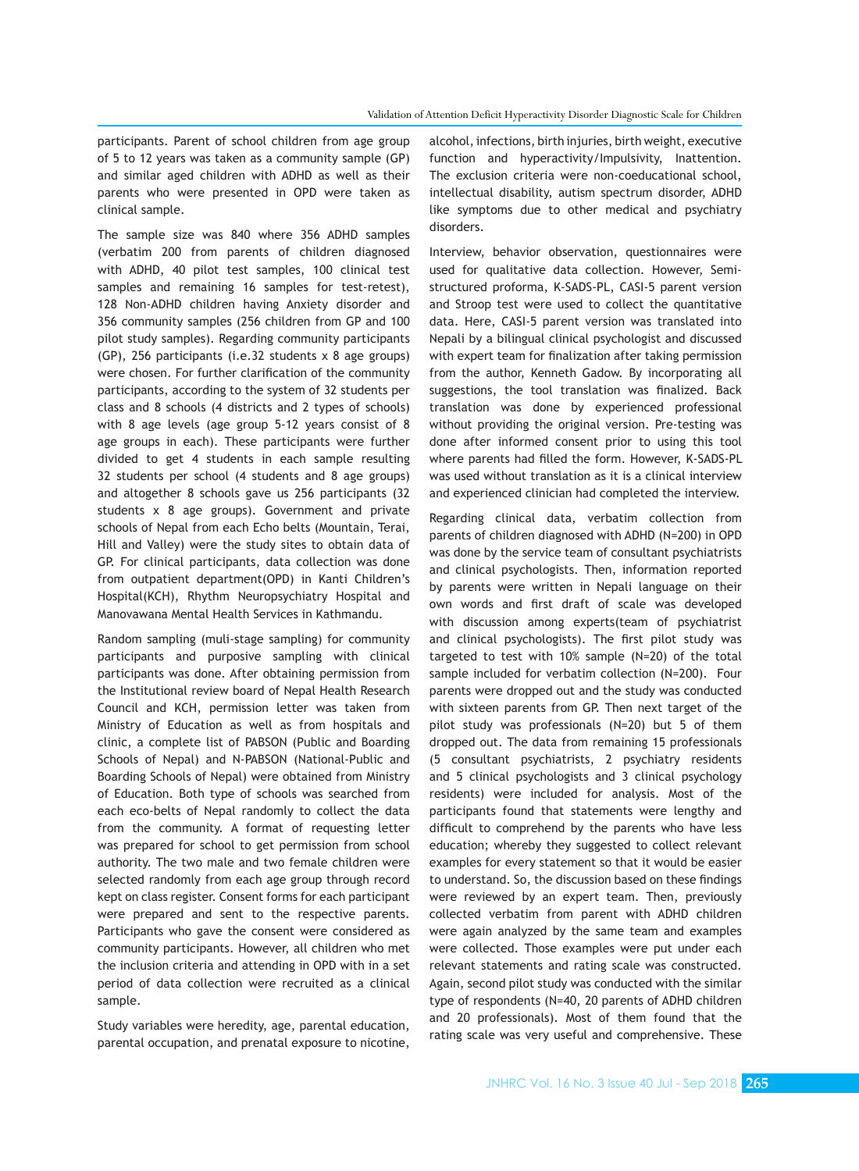participants. Parent of school children from age group of 5 to 12 years was taken as a community sample (GP) and similar aged children with ADHD as well as their parents who were presented in OPD were taken as clinical sample.

The sample size was 840 where 356 ADHD samples (verbatim 200 from parents of children diagnosed with ADHD, 40 pilot test samples, 100 clinical test samples and remaining 16 samples for test-retest), 128 Non-ADHD children having Anxiety disorder and 356 community samples (256 children from GP and 100 pilot study samples). Regarding community participants (GP), 256 participants (i.e.32 students x 8 age groups) were chosen. For further clarification of the community participants, according to the system of 32 students per class and 8 schools (4 districts and 2 types of schools) with 8 age levels (age group 5-12 years consist of 8 age groups in each). These participants were further divided to get 4 students in each sample resulting 32 students per school (4 students and 8 age groups) and altogether 8 schools gave us 256 participants (32 students x 8 age groups). Government and private schools of Nepal from each Echo belts (Mountain, Terai, Hill and Valley) were the study sites to obtain data of GP. For clinical participants, data collection was done from outpatient department(OPD) in Kanti Children's Hospital(KCH), Rhythm Neuropsychiatry Hospital and Manovawana Mental Health Services in Kathmandu.

Random sampling (muli-stage sampling) for community participants and purposive sampling with clinical participants was done. After obtaining permission from the Institutional review board of Nepal Health Research Council and KCH, permission letter was taken from Ministry of Education as well as from hospitals and clinic, a complete list of PABSON (Public and Boarding Schools of Nepal) and N-PABSON (National-Public and Boarding Schools of Nepal) were obtained from Ministry of Education. Both type of schools was searched from each eco-belts of Nepal randomly to collect the data from the community. A format of requesting letter was prepared for school to get permission from school authority. The two male and two female children were selected randomly from each age group through record kept on class register. Consent forms for each participant were prepared and sent to the respective parents. Participants who gave the consent were considered as community participants. However, all children who met the inclusion criteria and attending in OPD with in a set period of data collection were recruited as a clinical sample.

Study variables were heredity, age, parental education, parental occupation, and prenatal exposure to nicotine, alcohol, infections, birth injuries, birth weight, executive function and hyperactivity/Impulsivity, Inattention. The exclusion criteria were non-coeducational school, intellectual disability, autism spectrum disorder, ADHD like symptoms due to other medical and psychiatry disorders.

Interview, behavior observation, questionnaires were used for qualitative data collection. However, Semistructured proforma, K-SADS-PL, CASI-5 parent version and Stroop test were used to collect the quantitative data. Here, CASI-5 parent version was translated into Nepali by a bilingual clinical psychologist and discussed with expert team for finalization after taking permission from the author, Kenneth Gadow. By incorporating all suggestions, the tool translation was finalized. Back translation was done by experienced professional without providing the original version. Pre-testing was done after informed consent prior to using this tool where parents had filled the form. However, K-SADS-PL was used without translation as it is a clinical interview and experienced clinician had completed the interview.

Regarding clinical data, verbatim collection from parents of children diagnosed with ADHD (N=200) in OPD was done by the service team of consultant psychiatrists and clinical psychologists. Then, information reported by parents were written in Nepali language on their own words and first draft of scale was developed with discussion among experts(team of psychiatrist and clinical psychologists). The first pilot study was targeted to test with 10% sample (N=20) of the total sample included for verbatim collection (N=200). Four parents were dropped out and the study was conducted with sixteen parents from GP. Then next target of the pilot study was professionals (N=20) but 5 of them dropped out. The data from remaining 15 professionals (5 consultant psychiatrists, 2 psychiatry residents and 5 clinical psychologists and 3 clinical psychology residents) were included for analysis. Most of the participants found that statements were lengthy and difficult to comprehend by the parents who have less education; whereby they suggested to collect relevant examples for every statement so that it would be easier to understand. So, the discussion based on these findings were reviewed by an expert team. Then, previously collected verbatim from parent with ADHD children were again analyzed by the same team and examples were collected. Those examples were put under each relevant statements and rating scale was constructed. Again, second pilot study was conducted with the similar type of respondents (N=40, 20 parents of ADHD children and 20 professionals). Most of them found that the rating scale was very useful and comprehensive. These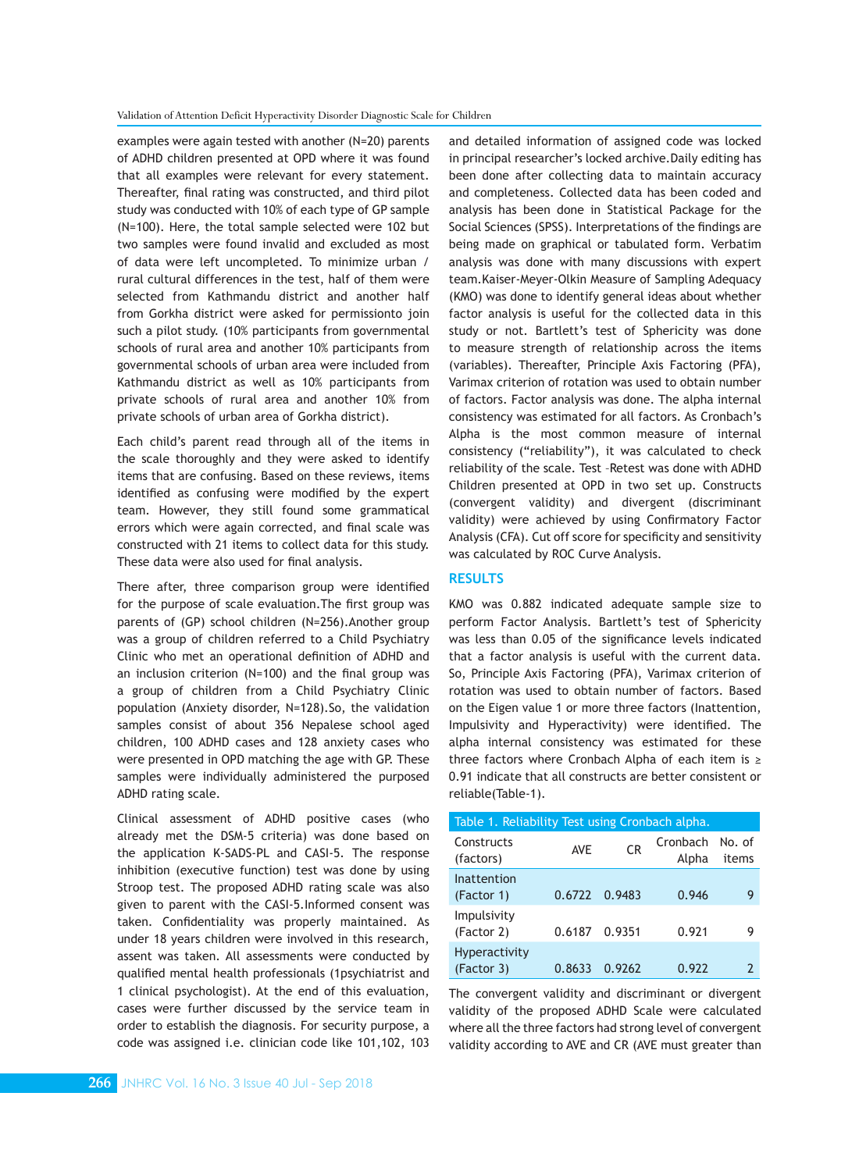#### Validation of Attention Deficit Hyperactivity Disorder Diagnostic Scale for Children

examples were again tested with another (N=20) parents of ADHD children presented at OPD where it was found that all examples were relevant for every statement. Thereafter, final rating was constructed, and third pilot study was conducted with 10% of each type of GP sample (N=100). Here, the total sample selected were 102 but two samples were found invalid and excluded as most of data were left uncompleted. To minimize urban / rural cultural differences in the test, half of them were selected from Kathmandu district and another half from Gorkha district were asked for permissionto join such a pilot study. (10% participants from governmental schools of rural area and another 10% participants from governmental schools of urban area were included from Kathmandu district as well as 10% participants from private schools of rural area and another 10% from private schools of urban area of Gorkha district).

Each child's parent read through all of the items in the scale thoroughly and they were asked to identify items that are confusing. Based on these reviews, items identified as confusing were modified by the expert team. However, they still found some grammatical errors which were again corrected, and final scale was constructed with 21 items to collect data for this study. These data were also used for final analysis.

There after, three comparison group were identified for the purpose of scale evaluation.The first group was parents of (GP) school children (N=256).Another group was a group of children referred to a Child Psychiatry Clinic who met an operational definition of ADHD and an inclusion criterion (N=100) and the final group was a group of children from a Child Psychiatry Clinic population (Anxiety disorder, N=128).So, the validation samples consist of about 356 Nepalese school aged children, 100 ADHD cases and 128 anxiety cases who were presented in OPD matching the age with GP. These samples were individually administered the purposed ADHD rating scale.

Clinical assessment of ADHD positive cases (who already met the DSM-5 criteria) was done based on the application K-SADS-PL and CASI-5. The response inhibition (executive function) test was done by using Stroop test. The proposed ADHD rating scale was also given to parent with the CASI-5.Informed consent was taken. Confidentiality was properly maintained. As under 18 years children were involved in this research, assent was taken. All assessments were conducted by qualified mental health professionals (1psychiatrist and 1 clinical psychologist). At the end of this evaluation, cases were further discussed by the service team in order to establish the diagnosis. For security purpose, a code was assigned i.e. clinician code like 101,102, 103

and detailed information of assigned code was locked in principal researcher's locked archive.Daily editing has been done after collecting data to maintain accuracy and completeness. Collected data has been coded and analysis has been done in Statistical Package for the Social Sciences (SPSS). Interpretations of the findings are being made on graphical or tabulated form. Verbatim analysis was done with many discussions with expert team.Kaiser-Meyer-Olkin Measure of Sampling Adequacy (KMO) was done to identify general ideas about whether factor analysis is useful for the collected data in this study or not. Bartlett's test of Sphericity was done to measure strength of relationship across the items (variables). Thereafter, Principle Axis Factoring (PFA), Varimax criterion of rotation was used to obtain number of factors. Factor analysis was done. The alpha internal consistency was estimated for all factors. As Cronbach's Alpha is the most common measure of internal consistency ("reliability"), it was calculated to check reliability of the scale. Test –Retest was done with ADHD Children presented at OPD in two set up. Constructs (convergent validity) and divergent (discriminant validity) were achieved by using Confirmatory Factor Analysis (CFA). Cut off score for specificity and sensitivity was calculated by ROC Curve Analysis.

## **RESULTS**

KMO was 0.882 indicated adequate sample size to perform Factor Analysis. Bartlett's test of Sphericity was less than 0.05 of the significance levels indicated that a factor analysis is useful with the current data. So, Principle Axis Factoring (PFA), Varimax criterion of rotation was used to obtain number of factors. Based on the Eigen value 1 or more three factors (Inattention, Impulsivity and Hyperactivity) were identified. The alpha internal consistency was estimated for these three factors where Cronbach Alpha of each item is ≥ 0.91 indicate that all constructs are better consistent or reliable(Table-1).

| Table 1. Reliability Test using Cronbach alpha. |               |        |                   |                 |  |  |  |  |  |  |  |
|-------------------------------------------------|---------------|--------|-------------------|-----------------|--|--|--|--|--|--|--|
| Constructs<br>(factors)                         | <b>AVE</b>    | CR     | Cronbach<br>Alpha | No. of<br>items |  |  |  |  |  |  |  |
| Inattention<br>(Factor 1)                       | 0.6722 0.9483 |        | 0.946             | 9               |  |  |  |  |  |  |  |
| Impulsivity<br>(Factor 2)                       | 0.6187        | 0.9351 | 0.921             | 9               |  |  |  |  |  |  |  |
| <b>Hyperactivity</b><br>(Factor 3)              | 0.8633        | 0.9262 | 0.922             |                 |  |  |  |  |  |  |  |

The convergent validity and discriminant or divergent validity of the proposed ADHD Scale were calculated where all the three factors had strong level of convergent validity according to AVE and CR (AVE must greater than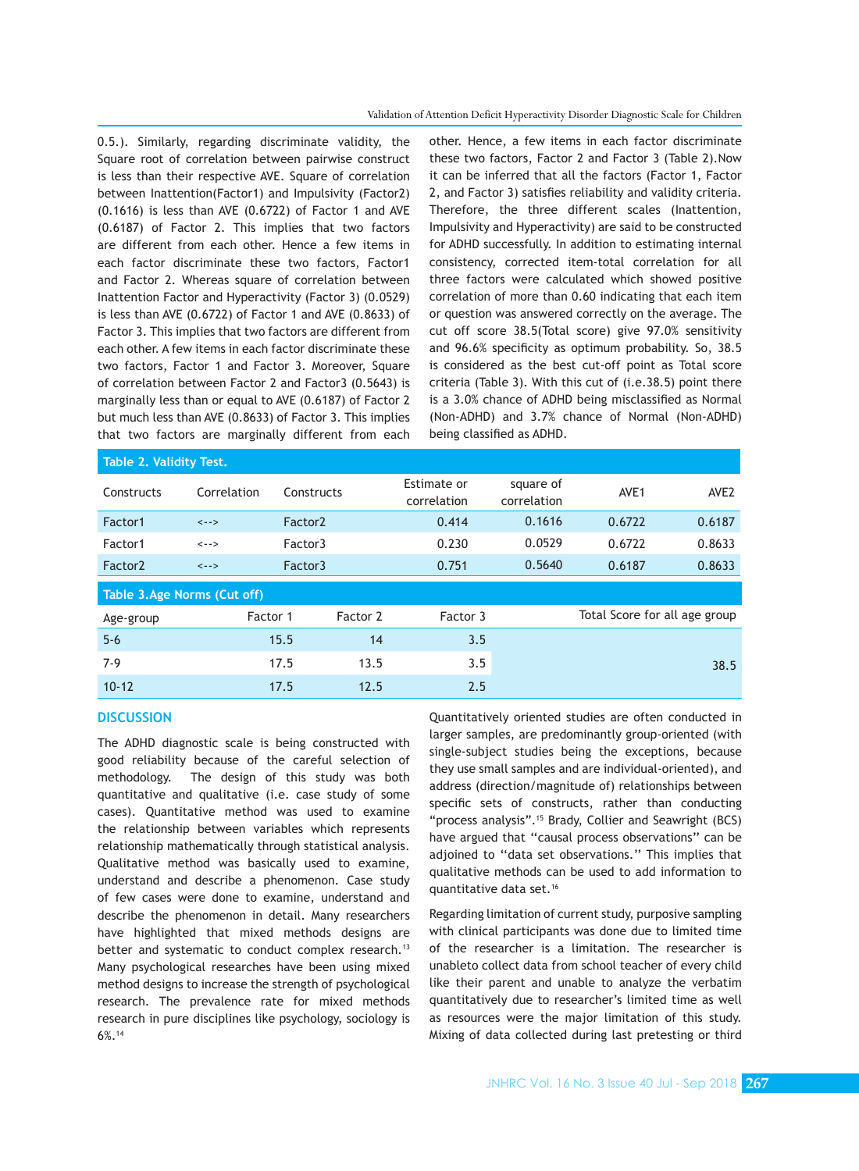0.5.). Similarly, regarding discriminate validity, the Square root of correlation between pairwise construct is less than their respective AVE. Square of correlation between Inattention(Factor1) and Impulsivity (Factor2) (0.1616) is less than AVE (0.6722) of Factor 1 and AVE (0.6187) of Factor 2. This implies that two factors are different from each other. Hence a few items in each factor discriminate these two factors, Factor1 and Factor 2. Whereas square of correlation between Inattention Factor and Hyperactivity (Factor 3) (0.0529) is less than AVE (0.6722) of Factor 1 and AVE (0.8633) of Factor 3. This implies that two factors are different from each other. A few items in each factor discriminate these two factors, Factor 1 and Factor 3. Moreover, Square of correlation between Factor 2 and Factor3 (0.5643) is marginally less than or equal to AVE (0.6187) of Factor 2 but much less than AVE (0.8633) of Factor 3. This implies that two factors are marginally different from each

other. Hence, a few items in each factor discriminate these two factors, Factor 2 and Factor 3 (Table 2).Now it can be inferred that all the factors (Factor 1, Factor 2, and Factor 3) satisfies reliability and validity criteria. Therefore, the three different scales (Inattention, Impulsivity and Hyperactivity) are said to be constructed for ADHD successfully. In addition to estimating internal consistency, corrected item-total correlation for all three factors were calculated which showed positive correlation of more than 0.60 indicating that each item or question was answered correctly on the average. The cut off score 38.5(Total score) give 97.0% sensitivity and 96.6% specificity as optimum probability. So, 38.5 is considered as the best cut-off point as Total score criteria (Table 3). With this cut of (i.e.38.5) point there is a 3.0% chance of ADHD being misclassified as Normal (Non-ADHD) and 3.7% chance of Normal (Non-ADHD) being classified as ADHD.

| Table 2. Validity Test.     |                                     |                     |          |                            |                          |                  |                               |  |  |  |  |
|-----------------------------|-------------------------------------|---------------------|----------|----------------------------|--------------------------|------------------|-------------------------------|--|--|--|--|
| Constructs                  | Correlation                         | Constructs          |          | Estimate or<br>correlation | square of<br>correlation | AVE <sub>1</sub> | AVE <sub>2</sub>              |  |  |  |  |
| Factor1                     | $\left\langle \cdots \right\rangle$ | Factor <sub>2</sub> |          | 0.414                      | 0.1616                   | 0.6722           | 0.6187                        |  |  |  |  |
| Factor1                     | $\left\langle \ldots \right\rangle$ | Factor3             |          | 0.230                      | 0.0529                   | 0.6722           | 0.8633                        |  |  |  |  |
| Factor <sub>2</sub>         | $\leftarrow$ $\rightarrow$          | Factor3             |          | 0.751                      | 0.5640                   | 0.6187           | 0.8633                        |  |  |  |  |
| Table 3.Age Norms (Cut off) |                                     |                     |          |                            |                          |                  |                               |  |  |  |  |
| Age-group                   | Factor 1                            |                     | Factor 2 | Factor 3                   |                          |                  | Total Score for all age group |  |  |  |  |
| $5 - 6$                     |                                     | 15.5                | 14       | 3.5                        |                          |                  |                               |  |  |  |  |
| $7-9$                       |                                     | 17.5                | 13.5     | 3.5                        |                          |                  | 38.5                          |  |  |  |  |
| $10 - 12$                   |                                     | 17.5                | 12.5     | 2.5                        |                          |                  |                               |  |  |  |  |
|                             |                                     |                     |          |                            |                          |                  |                               |  |  |  |  |

#### **DISCUSSION**

The ADHD diagnostic scale is being constructed with good reliability because of the careful selection of methodology. The design of this study was both quantitative and qualitative (i.e. case study of some cases). Quantitative method was used to examine the relationship between variables which represents relationship mathematically through statistical analysis. Qualitative method was basically used to examine, understand and describe a phenomenon. Case study of few cases were done to examine, understand and describe the phenomenon in detail. Many researchers have highlighted that mixed methods designs are better and systematic to conduct complex research.<sup>13</sup> Many psychological researches have been using mixed method designs to increase the strength of psychological research. The prevalence rate for mixed methods research in pure disciplines like psychology, sociology is 6%.14

Quantitatively oriented studies are often conducted in larger samples, are predominantly group-oriented (with single-subject studies being the exceptions, because they use small samples and are individual-oriented), and address (direction/magnitude of) relationships between specific sets of constructs, rather than conducting "process analysis".<sup>15</sup> Brady, Collier and Seawright (BCS) have argued that ''causal process observations'' can be adjoined to ''data set observations.'' This implies that qualitative methods can be used to add information to quantitative data set.16

Regarding limitation of current study, purposive sampling with clinical participants was done due to limited time of the researcher is a limitation. The researcher is unableto collect data from school teacher of every child like their parent and unable to analyze the verbatim quantitatively due to researcher's limited time as well as resources were the major limitation of this study. Mixing of data collected during last pretesting or third